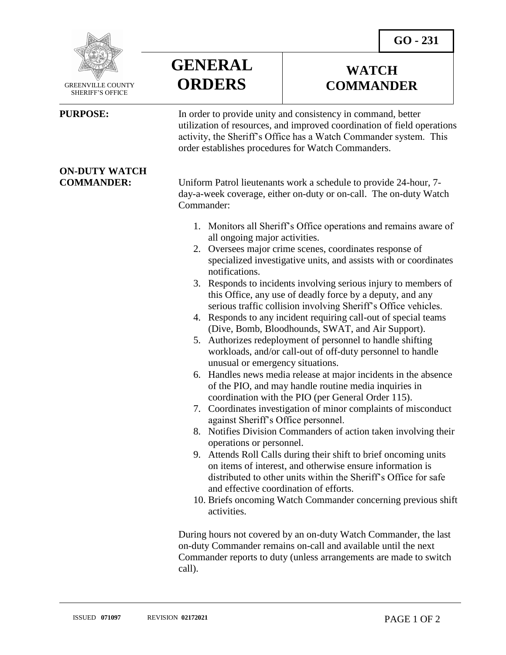**WATCH COMMANDER**



 GREENVILLE COUNTY SHERIFF'S OFFICE

 $\overline{a}$ 

## **ON-DUTY WATCH**



**PURPOSE:** In order to provide unity and consistency in command, better utilization of resources, and improved coordination of field operations activity, the Sheriff's Office has a Watch Commander system. This order establishes procedures for Watch Commanders.

**COMMANDER:** Uniform Patrol lieutenants work a schedule to provide 24-hour, 7 day-a-week coverage, either on-duty or on-call. The on-duty Watch Commander:

- 1. Monitors all Sheriff's Office operations and remains aware of all ongoing major activities.
- 2. Oversees major crime scenes, coordinates response of specialized investigative units, and assists with or coordinates notifications.
- 3. Responds to incidents involving serious injury to members of this Office, any use of deadly force by a deputy, and any serious traffic collision involving Sheriff's Office vehicles.
- 4. Responds to any incident requiring call-out of special teams (Dive, Bomb, Bloodhounds, SWAT, and Air Support).
- 5. Authorizes redeployment of personnel to handle shifting workloads, and/or call-out of off-duty personnel to handle unusual or emergency situations.
- 6. Handles news media release at major incidents in the absence of the PIO, and may handle routine media inquiries in coordination with the PIO (per General Order 115).
- 7. Coordinates investigation of minor complaints of misconduct against Sheriff's Office personnel.
- 8. Notifies Division Commanders of action taken involving their operations or personnel.
- 9. Attends Roll Calls during their shift to brief oncoming units on items of interest, and otherwise ensure information is distributed to other units within the Sheriff's Office for safe and effective coordination of efforts.
- 10. Briefs oncoming Watch Commander concerning previous shift activities.

During hours not covered by an on-duty Watch Commander, the last on-duty Commander remains on-call and available until the next Commander reports to duty (unless arrangements are made to switch call).